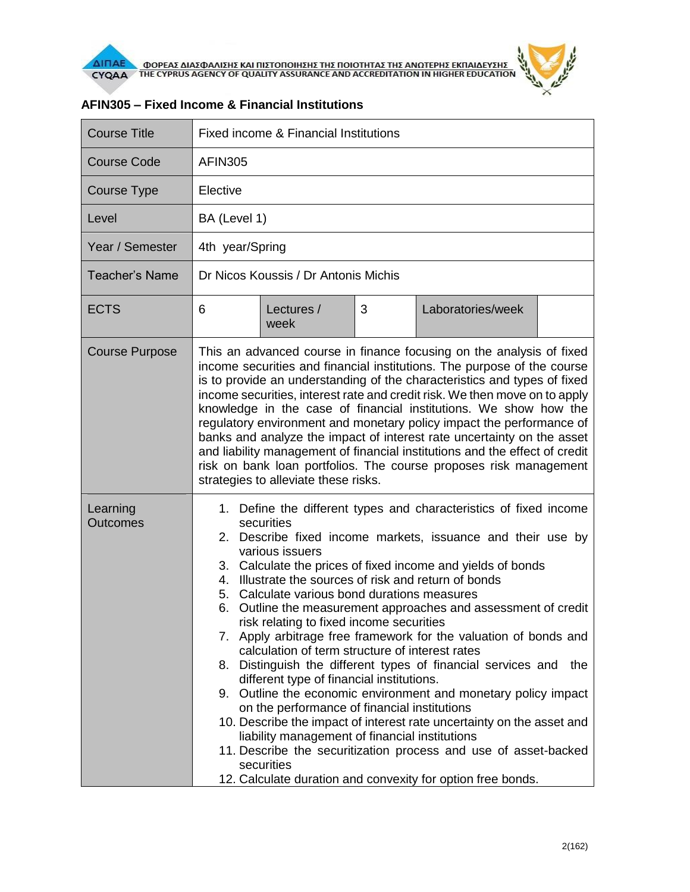

| <b>Course Title</b>   | Fixed income & Financial Institutions                                                                                                                                                                                                                                                                                                                                                                                                                                                                                                                                                                                                                                                                                                                                                                                                                                                                                                                                                                                                                                                                    |  |  |  |  |  |
|-----------------------|----------------------------------------------------------------------------------------------------------------------------------------------------------------------------------------------------------------------------------------------------------------------------------------------------------------------------------------------------------------------------------------------------------------------------------------------------------------------------------------------------------------------------------------------------------------------------------------------------------------------------------------------------------------------------------------------------------------------------------------------------------------------------------------------------------------------------------------------------------------------------------------------------------------------------------------------------------------------------------------------------------------------------------------------------------------------------------------------------------|--|--|--|--|--|
| <b>Course Code</b>    | <b>AFIN305</b>                                                                                                                                                                                                                                                                                                                                                                                                                                                                                                                                                                                                                                                                                                                                                                                                                                                                                                                                                                                                                                                                                           |  |  |  |  |  |
| Course Type           | Elective                                                                                                                                                                                                                                                                                                                                                                                                                                                                                                                                                                                                                                                                                                                                                                                                                                                                                                                                                                                                                                                                                                 |  |  |  |  |  |
| Level                 | BA (Level 1)                                                                                                                                                                                                                                                                                                                                                                                                                                                                                                                                                                                                                                                                                                                                                                                                                                                                                                                                                                                                                                                                                             |  |  |  |  |  |
| Year / Semester       | 4th year/Spring                                                                                                                                                                                                                                                                                                                                                                                                                                                                                                                                                                                                                                                                                                                                                                                                                                                                                                                                                                                                                                                                                          |  |  |  |  |  |
| <b>Teacher's Name</b> | Dr Nicos Koussis / Dr Antonis Michis                                                                                                                                                                                                                                                                                                                                                                                                                                                                                                                                                                                                                                                                                                                                                                                                                                                                                                                                                                                                                                                                     |  |  |  |  |  |
| <b>ECTS</b>           | 3<br>Laboratories/week<br>6<br>Lectures /<br>week                                                                                                                                                                                                                                                                                                                                                                                                                                                                                                                                                                                                                                                                                                                                                                                                                                                                                                                                                                                                                                                        |  |  |  |  |  |
| <b>Course Purpose</b> | This an advanced course in finance focusing on the analysis of fixed<br>income securities and financial institutions. The purpose of the course<br>is to provide an understanding of the characteristics and types of fixed<br>income securities, interest rate and credit risk. We then move on to apply<br>knowledge in the case of financial institutions. We show how the<br>regulatory environment and monetary policy impact the performance of<br>banks and analyze the impact of interest rate uncertainty on the asset<br>and liability management of financial institutions and the effect of credit<br>risk on bank loan portfolios. The course proposes risk management<br>strategies to alleviate these risks.                                                                                                                                                                                                                                                                                                                                                                              |  |  |  |  |  |
| Learning<br>Outcomes  | 1. Define the different types and characteristics of fixed income<br>securities<br>2. Describe fixed income markets, issuance and their use by<br>various issuers<br>3. Calculate the prices of fixed income and yields of bonds<br>Illustrate the sources of risk and return of bonds<br>4.<br>Calculate various bond durations measures<br>5.<br>Outline the measurement approaches and assessment of credit<br>6.<br>risk relating to fixed income securities<br>7. Apply arbitrage free framework for the valuation of bonds and<br>calculation of term structure of interest rates<br>8. Distinguish the different types of financial services and<br>the<br>different type of financial institutions.<br>9. Outline the economic environment and monetary policy impact<br>on the performance of financial institutions<br>10. Describe the impact of interest rate uncertainty on the asset and<br>liability management of financial institutions<br>11. Describe the securitization process and use of asset-backed<br>securities<br>12. Calculate duration and convexity for option free bonds. |  |  |  |  |  |

## **AFIN305 – Fixed Income & Financial Institutions**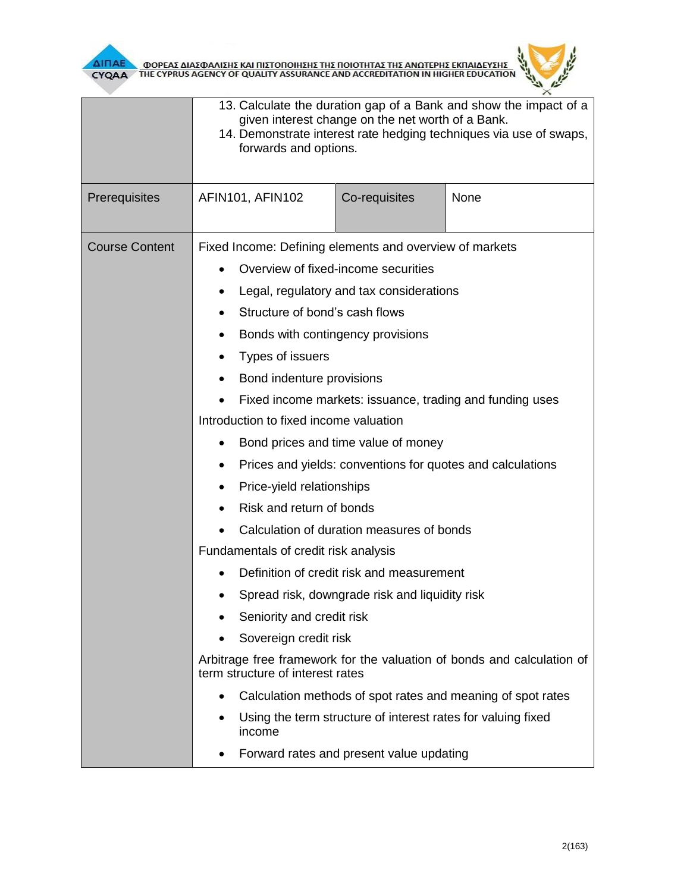



|                       | 13. Calculate the duration gap of a Bank and show the impact of a<br>given interest change on the net worth of a Bank.<br>14. Demonstrate interest rate hedging techniques via use of swaps,<br>forwards and options. |                                                                                                                                                                                                                                                                                                                                                                                                                                                                                                                                                                                                                                                                                                                                                                                                                                        |      |  |  |
|-----------------------|-----------------------------------------------------------------------------------------------------------------------------------------------------------------------------------------------------------------------|----------------------------------------------------------------------------------------------------------------------------------------------------------------------------------------------------------------------------------------------------------------------------------------------------------------------------------------------------------------------------------------------------------------------------------------------------------------------------------------------------------------------------------------------------------------------------------------------------------------------------------------------------------------------------------------------------------------------------------------------------------------------------------------------------------------------------------------|------|--|--|
| Prerequisites         | AFIN101, AFIN102                                                                                                                                                                                                      | Co-requisites                                                                                                                                                                                                                                                                                                                                                                                                                                                                                                                                                                                                                                                                                                                                                                                                                          | None |  |  |
| <b>Course Content</b> | ٠<br>Types of issuers<br>٠<br>$\bullet$<br>٠<br>term structure of interest rates                                                                                                                                      | Fixed Income: Defining elements and overview of markets<br>Overview of fixed-income securities<br>Legal, regulatory and tax considerations<br>Structure of bond's cash flows<br>Bonds with contingency provisions<br>Bond indenture provisions<br>Fixed income markets: issuance, trading and funding uses<br>Introduction to fixed income valuation<br>Bond prices and time value of money<br>Prices and yields: conventions for quotes and calculations<br>Price-yield relationships<br>Risk and return of bonds<br>Calculation of duration measures of bonds<br>Fundamentals of credit risk analysis<br>Definition of credit risk and measurement<br>Spread risk, downgrade risk and liquidity risk<br>Seniority and credit risk<br>Sovereign credit risk<br>Arbitrage free framework for the valuation of bonds and calculation of |      |  |  |
|                       | Calculation methods of spot rates and meaning of spot rates<br>Using the term structure of interest rates for valuing fixed<br>income<br>Forward rates and present value updating<br>٠                                |                                                                                                                                                                                                                                                                                                                                                                                                                                                                                                                                                                                                                                                                                                                                                                                                                                        |      |  |  |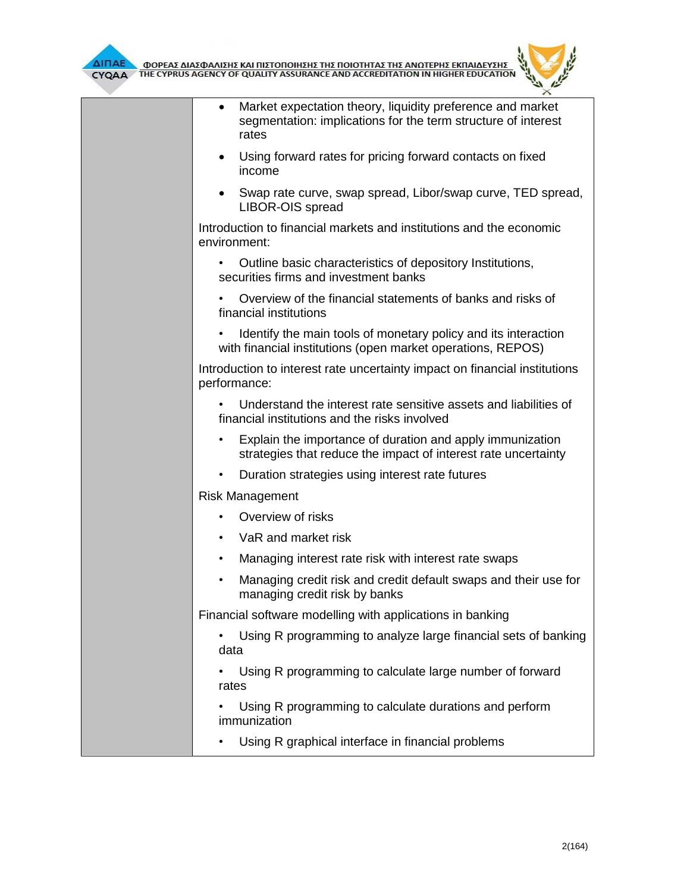



| $\bullet$    | Market expectation theory, liquidity preference and market<br>segmentation: implications for the term structure of interest<br>rates |
|--------------|--------------------------------------------------------------------------------------------------------------------------------------|
| $\bullet$    | Using forward rates for pricing forward contacts on fixed<br>income                                                                  |
| ٠            | Swap rate curve, swap spread, Libor/swap curve, TED spread,<br>LIBOR-OIS spread                                                      |
| environment: | Introduction to financial markets and institutions and the economic                                                                  |
| $\bullet$    | Outline basic characteristics of depository Institutions,<br>securities firms and investment banks                                   |
|              | Overview of the financial statements of banks and risks of<br>financial institutions                                                 |
|              | Identify the main tools of monetary policy and its interaction<br>with financial institutions (open market operations, REPOS)        |
| performance: | Introduction to interest rate uncertainty impact on financial institutions                                                           |
|              | Understand the interest rate sensitive assets and liabilities of<br>financial institutions and the risks involved                    |
| $\bullet$    | Explain the importance of duration and apply immunization<br>strategies that reduce the impact of interest rate uncertainty          |
| $\bullet$    | Duration strategies using interest rate futures                                                                                      |
|              | <b>Risk Management</b>                                                                                                               |
|              | Overview of risks                                                                                                                    |
| $\bullet$    | VaR and market risk                                                                                                                  |
| $\bullet$    | Managing interest rate risk with interest rate swaps                                                                                 |
| $\bullet$    | Managing credit risk and credit default swaps and their use for<br>managing credit risk by banks                                     |
|              | Financial software modelling with applications in banking                                                                            |
| data         | Using R programming to analyze large financial sets of banking                                                                       |
| rates        | Using R programming to calculate large number of forward                                                                             |
|              | Using R programming to calculate durations and perform<br>immunization                                                               |
|              | Using R graphical interface in financial problems                                                                                    |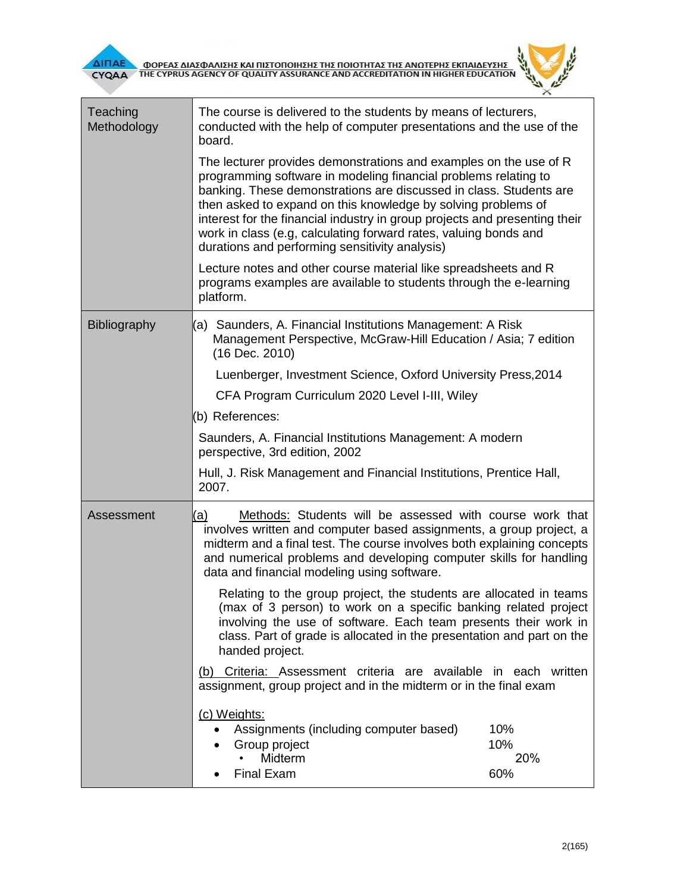



| Teaching<br>Methodology | The course is delivered to the students by means of lecturers,<br>conducted with the help of computer presentations and the use of the<br>board.                                                                                                                                                                                                                                                                                                                                |                          |  |  |
|-------------------------|---------------------------------------------------------------------------------------------------------------------------------------------------------------------------------------------------------------------------------------------------------------------------------------------------------------------------------------------------------------------------------------------------------------------------------------------------------------------------------|--------------------------|--|--|
|                         | The lecturer provides demonstrations and examples on the use of R<br>programming software in modeling financial problems relating to<br>banking. These demonstrations are discussed in class. Students are<br>then asked to expand on this knowledge by solving problems of<br>interest for the financial industry in group projects and presenting their<br>work in class (e.g, calculating forward rates, valuing bonds and<br>durations and performing sensitivity analysis) |                          |  |  |
|                         | Lecture notes and other course material like spreadsheets and R<br>programs examples are available to students through the e-learning<br>platform.                                                                                                                                                                                                                                                                                                                              |                          |  |  |
| <b>Bibliography</b>     | (a) Saunders, A. Financial Institutions Management: A Risk<br>Management Perspective, McGraw-Hill Education / Asia; 7 edition<br>(16 Dec. 2010)                                                                                                                                                                                                                                                                                                                                 |                          |  |  |
|                         | Luenberger, Investment Science, Oxford University Press, 2014                                                                                                                                                                                                                                                                                                                                                                                                                   |                          |  |  |
|                         | CFA Program Curriculum 2020 Level I-III, Wiley                                                                                                                                                                                                                                                                                                                                                                                                                                  |                          |  |  |
|                         | (b) References:                                                                                                                                                                                                                                                                                                                                                                                                                                                                 |                          |  |  |
|                         | Saunders, A. Financial Institutions Management: A modern<br>perspective, 3rd edition, 2002                                                                                                                                                                                                                                                                                                                                                                                      |                          |  |  |
|                         | Hull, J. Risk Management and Financial Institutions, Prentice Hall,<br>2007.                                                                                                                                                                                                                                                                                                                                                                                                    |                          |  |  |
| Assessment              | Methods: Students will be assessed with course work that<br><u>(a)</u><br>involves written and computer based assignments, a group project, a<br>midterm and a final test. The course involves both explaining concepts<br>and numerical problems and developing computer skills for handling<br>data and financial modeling using software.                                                                                                                                    |                          |  |  |
|                         | Relating to the group project, the students are allocated in teams<br>(max of 3 person) to work on a specific banking related project<br>involving the use of software. Each team presents their work in<br>class. Part of grade is allocated in the presentation and part on the<br>handed project.                                                                                                                                                                            |                          |  |  |
|                         | (b) Criteria: Assessment criteria are available in each written<br>assignment, group project and in the midterm or in the final exam                                                                                                                                                                                                                                                                                                                                            |                          |  |  |
|                         | (c) Weights:<br>Assignments (including computer based)<br>Group project<br>Midterm<br><b>Final Exam</b>                                                                                                                                                                                                                                                                                                                                                                         | 10%<br>10%<br>20%<br>60% |  |  |